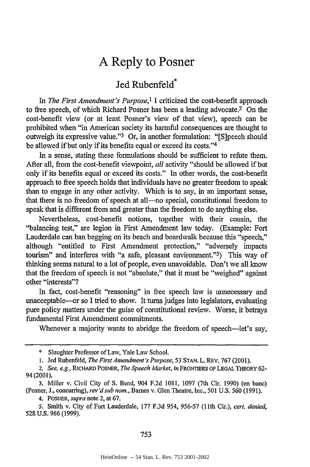# **A Reply to Posner**

# Jed Rubenfeld\*

In *The First Amendment's Purpose*,<sup>1</sup> I criticized the cost-benefit approach to free speech, of which Richard Posner has been a leading advocate.2 On the cost-benefit view (or at least Posner's view of that view), speech can be prohibited when "in American society its harmful consequences are thought to outweigh its expressive value."<sup>3</sup> Or, in another formulation: "[S]peech should be allowed if but only if its benefits equal or exceed its costs."<sup>4</sup>

In a sense, stating these formulations should be sufficient to refute them. After all, from the cost-benefit viewpoint, *all* activity "should be allowed if but only if its benefits equal or exceed its costs." In other words, the cost-benefit approach to free speech holds that individuals have no greater freedom to speak than to engage in any other activity. Which is to say, in an important sense, that there is no freedom of speech at all—no special, constitutional freedom to speak that is different from and greater than the freedom to do anything else.

Nevertheless, cost-benefit notions, together with their cousin, the "balancing test," are legion in First Amendment law today. (Example: Fort Lauderdale can ban begging on its beach and boardwalk because this "speech," although "entitled to First Amendment protection," "adversely impacts tourism" and interferes with "a safe, pleasant environment."<sup>5</sup>) This way of thinking seems natural to a lot of people, even unavoidable. Don't we all know that the freedom of speech is not "absolute," that it must be "weighed" against other "interests"?

In fact, cost-benefit "reasoning" in free speech law is unnecessary and unacceptable-or so I tried to show. It turns judges into legislators, evaluating pure policy matters under the guise of constitutional review. Worse, it betrays fundamental First Amendment commitments.

Whenever a majority wants to abridge the freedom of speech—let's say,

<sup>\*</sup> Slaughter Professor of Law, Yale Law School.

I. Jed Rubenfeld, *The First Amendment's Purpose,* 53 **STAN.** L. REv. 767 (2001).

*<sup>2.</sup> See, e.g.,* **RicHARD** POSNER, *The Speech Market, in* FRONTIERS OF **LEGAL** THEORY 62- 94(2001).

<sup>3.</sup> Miller v. Civil City of S. Bend, 904 F.2d 1081, 1097 (7th Cir. 1990) (en banc) (Posner, J., concurring), *rev'dsub nona.,* Barnes v. Glen Theatre, Inc., 501 U.S. 560 (1991).

<sup>4.</sup> **PosNER,** *supra* note 2, at 67.

**<sup>5.</sup>** Smith v. City of Fort Lauderdale, 177 F.3d 954, 956-57 (11th Cir.), *cert. denied,* 528 U.S. 966 (1999).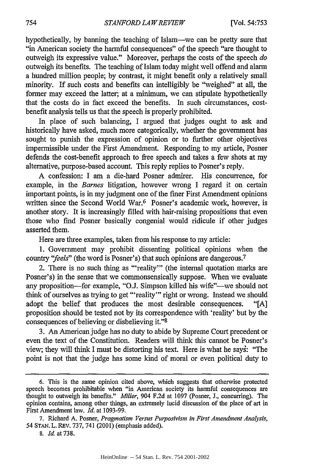hypothetically, by banning the teaching of Islam-we can be pretty sure that "in American society the harmful consequences" of the speech "are thought to outweigh its expressive value." Moreover, perhaps the costs of the speech *do* outweigh its benefits. The teaching of Islam today might well offend and alarm a hundred million people; by contrast, it might benefit only a relatively small minority. If such costs and benefits can intelligibly be "weighed" at all, the former may exceed the latter; at a minimum, we can stipulate hypothetically that the costs do in fact exceed the benefits. In such circumstances, costbenefit analysis tells us that the speech is properly prohibited.

In place of such balancing, I argued that judges ought to ask and historically have asked, much more categorically, whether the government has sought to punish the expression of opinion or to further other objectives impermissible under the First Amendment. Responding to my article, Posner defends the cost-benefit approach to free speech and takes a few shots at my alternative, purpose-based account. This reply replies to Posner's reply.

A confession: I am a die-hard Posner admirer. His concurrence, for example, in the *Barnes* litigation, however wrong I regard it on certain important points, is in my judgment one of the finer First Amendment opinions written since the Second World War.<sup>6</sup> Posner's academic work, however, is another story. It is increasingly filled with hair-raising propositions that even those who find Posner basically congenial would ridicule if other judges asserted them.

Here are three examples, taken from his response to my article:

1. Government may prohibit dissenting political opinions when the country "*feels*" (the word is Posner's) that such opinions are dangerous.<sup>7</sup>

2. There is no such thing as "'reality" (the internal quotation marks are Posner's) in the sense that we commonsensically suppose. When we evaluate any proposition-for example, "O.J. Simpson killed his wife"-we should not think of ourselves as trying to get "'reality" right or wrong. Instead we should adopt the belief that produces the most desirable consequences. "[A] proposition should be tested not by its correspondence with 'reality' but by the consequences of believing or disbelieving it."<sup>8</sup>

3. An American judge has no duty to abide by Supreme Court precedent or even the text of the Constitution. Readers will think this cannot be Posner's view; they will think I must be distorting his text. Here is what he says: "The point is not that the judge has some kind of moral or even political duty to

<sup>6.</sup> This is the same opinion cited above, which suggests that otherwise protected speech becomes prohibitable when "in American society its harmful consequences are thought to outweigh its benefits." *Miller,* 904 F.2d at 1097 (Posner, J., concurring). The opinion contains, among other things, an extremely lucid discussion of the place of art in First Amendment law. *Id.* at 1093-99.

<sup>7.</sup> Richard A. Posner, *Pragmatism Versus Purposivism in First Amendment Analysis,* 54 **STAN.** L. REv. 737, 741 (2001) (emphasis added).

<sup>8.</sup> *Id.* at 738.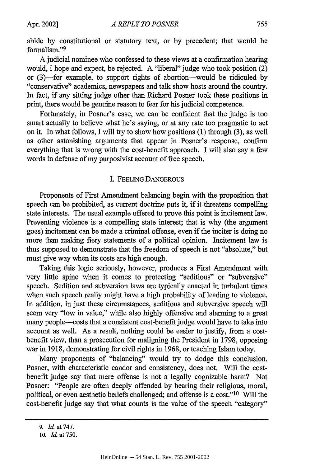abide by constitutional or statutory text, or by precedent; that would be formalism."<sup>9</sup>

A judicial nominee who confessed to these views at a confirmation hearing would, I hope and expect, be rejected. A "liberal" judge who took position (2) or (3)-for example, to support rights of abortion-would be ridiculed by "conservative" academics, newspapers and talk show hosts around the country. In fact, if any sitting judge other than Richard Posner took these positions in print, there would be genuine reason to fear for his judicial competence.

Fortunately, in Posner's case, we can be confident that the judge is too smart actually to believe what he's saying, or at any rate too pragmatic to act on it. In what follows, I will try to show how positions (1) through (3), as well as other astonishing arguments that appear in Posner's response, confirm everything that is wrong with the cost-benefit approach. I will also say a few words in defense of my purposivist account of free speech.

#### I. FEELING DANGEROUS

Proponents of First Amendment balancing begin with the proposition that speech can be prohibited, as current doctrine puts it, if it threatens compelling state interests. The usual example offered to prove this point is incitement law. Preventing violence is a compelling state interest; that is why (the argument goes) incitement can be made a criminal offense, even if the inciter is doing no more than making fiery statements of a political opinion. Incitement law is thus supposed to demonstrate that the freedom of speech is not "absolute," but must give way when its costs are high enough.

Taking this logic seriously, however, produces a First Amendment with very little spine when it comes to protecting "seditious" or "subversive" speech. Sedition and subversion laws are typically enacted in turbulent times when such speech really might have a high probability of leading to violence. In addition, in just these circumstances, seditious and subversive speech will seem very "low in value," while also highly offensive and alarming to a great many people—costs that a consistent cost-benefit judge would have to take into account as well. As a result, nothing could be easier to justify, from a costbenefit view, than a prosecution for maligning the President in 1798, opposing war in 1918, demonstrating for civil rights in 1968, or teaching Islam today.

Many proponents of "balancing" would try to dodge this conclusion. Posner, with characteristic candor and consistency, does not. Will the costbenefit judge say that mere offense is not a legally cognizable harm? Not Posner: "People are often deeply offended by hearing their religious, moral, political, or even aesthetic beliefs challenged; and offense is a cost."<sup>10</sup> Will the cost-benefit judge say that what counts is the value of the speech "category"

<sup>9.</sup> *Id.* at 747.

<sup>10.</sup> *Id.* at 750.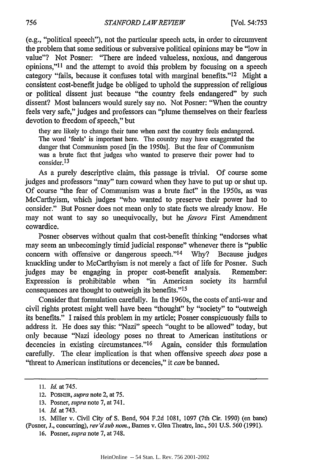(e.g., "political speech"), not the particular speech acts, in order to circumvent the problem that some seditious or subversive political opinions may be "low in value"? Not Posner: "There are indeed valueless, noxious, and dangerous opinions,"'1I and the attempt to avoid this problem by focusing on a speech category "fails, because it confuses total with marginal benefits."<sup>12</sup> Might a consistent cost-benefit judge be obliged to uphold the suppression of religious or political dissent just because "the country feels endangered" by such dissent? Most balancers would surely say no. Not Posner: "When the country feels very safe," judges and professors can "plume themselves on their fearless devotion to freedom of speech," but

they are likely to change their tune when next the country feels endangered. The word 'feels' is important here. The country may have exaggerated the danger that Communism posed [in the 1950s]. But the fear of Communism was a brute fact that judges who wanted to preserve their power had to consider. 13

As a purely descriptive claim, this passage is trivial. Of course some judges and professors "may" turn coward when they have to put up or shut up. Of course "the fear of Communism was a brute fact" in the 1950s, as was McCarthyism, which judges "who wanted to preserve their power had to consider." But Posner does not mean only to state facts we already know. He may not want to say so unequivocally, but he *favors* First Amendment cowardice.

Posner observes without qualm that cost-benefit thinking "endorses what may seem an unbecomingly timid judicial response" whenever there is "public concern with offensive or dangerous speech." $14$  Why? Because judges knuckling under to McCarthyism is not merely a fact of life for Posner. Such judges may be engaging in proper cost-benefit analysis. Remember: Expression is prohibitable when "in American society its harmful consequences are thought to outweigh its benefits."<sup>15</sup>

Consider that formulation carefully. In the 1960s, the costs of anti-war and civil rights protest might well have been "thought" by "society" to "outweigh its benefits." I raised this problem in my article; Posner conspicuously fails to address it. He does say this: "Nazi" speech "ought to be allowed" today, but only because "Nazi ideology poses no threat to American institutions or decencies in existing circumstances."<sup>16</sup> Again, consider this formulation carefully. The clear implication is that when offensive speech *does* pose a "threat to American institutions or decencies," it *can* be banned.

<sup>11.</sup> *Id.* at 745.

<sup>12.</sup> POSNER, *supra* note 2, at 75.

<sup>13.</sup> Posner, *supra* note 7, at 741.

<sup>14.</sup> *Id.* at 743.

<sup>15.</sup> Miller v. Civil City of S. Bend, 904 F.2d 1081, 1097 (7th Cir. 1990) (en banc) (Posner, J., concurring), *rev'd sub nom.,* Barnes v. Glen Theatre, Inc., 501 U.S. 560 (1991).

<sup>16.</sup> Posner, *supra* note 7, at 748.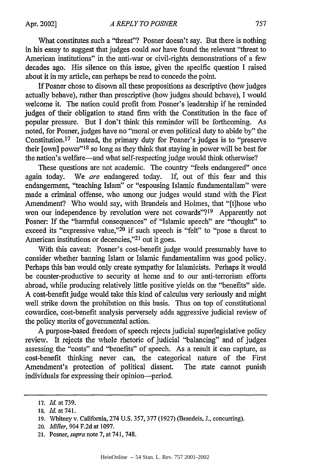What constitutes such a "threat"? Posner doesn't say. But there is nothing in his essay to suggest that judges could *not* have found the relevant "threat to American institutions" in the anti-war or civil-rights demonstrations of a few decades ago. His silence on this issue, given the specific question I raised about it in my article, can perhaps be read to concede the point.

If Posner chose to disown all these propositions as descriptive (how judges actually behave), rather than prescriptive (how judges should behave), I would welcome it. The nation could profit from Posner's leadership if he reminded judges of their obligation to stand firm with the Constitution in the face of popular pressure. But I don't think this reminder will be forthcoming. As noted, for Posner, judges have no "moral or even political duty to abide by" the Constitution. 17 Instead, the primary duty for Posner's judges is to "preserve their [own] power"Is so long as they think that staying in power will be best for the nation's welfare-and what self-respecting judge would think otherwise?

These questions are not academic. The country "feels endangered" once again today. We *are* endangered today. If, out of this fear and this endangerment, "teaching Islam" or "espousing Islamic fundamentalism" were made a criminal offense, who among our judges would stand with the First Amendment? Who would say, with Brandeis and Holmes, that "[t]hose who won our independence by revolution were not cowards"?<sup>19</sup> Apparently not Posner: If the "harnfiul consequences" of "Islamic speech" are "thought" to exceed its "expressive value,"<sup>20</sup> if such speech is "felt" to "pose a threat to American institutions or decencies," $21$  out it goes.

With this caveat: Posner's cost-benefit judge would presumably have to consider whether banning Islam or Islamic fundamentalism was good policy. Perhaps this ban would only create sympathy for Islamicists. Perhaps it would be counter-productive to security at home and to our anti-terrorism efforts abroad, while producing relatively little positive yields on the "benefits" side. A cost-benefit judge would take this kind of calculus very seriously and might well strike down the prohibition on this basis. Thus on top of constitutional cowardice, cost-benefit analysis perversely adds aggressive judicial review of the policy merits of governmental action.

A purpose-based freedom of speech rejects judicial superlegislative policy review. It rejects the whole rhetoric of judicial "balancing" and of judges assessing the "costs" and "benefits" of speech. As a result it can capture, as cost-benefit thinking never can, the categorical nature of the First Amendment's protection of political dissent. The state cannot punish individuals for expressing their opinion—period.

<sup>17.</sup> *Id.* at 739.

<sup>18.</sup> *Id.* at 741.

<sup>19.</sup> Whitney v. California, 274 U.S. 357, 377 (1927) (Brandeis, J., concurring).

<sup>20.</sup> *Miller,* 904 F.2d at 1097.

<sup>21.</sup> Posner, *supra* note 7, at 741, 748.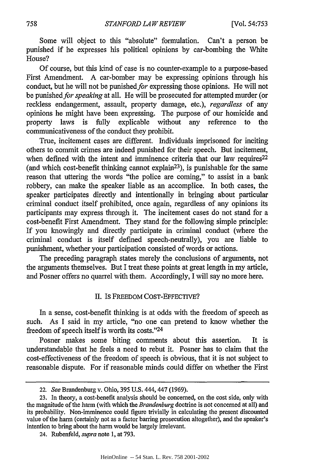Some will object to this "absolute" formulation. Can't a person be punished if he expresses his political opinions by car-bombing the White House?

Of course, but this kind of case is no counter-example to a purpose-based First Amendment. A car-bomber may be expressing opinions through his conduct, but he will not be punished for expressing those opinions. He will not be punished *for speaking* at all. He will be prosecuted for attempted murder (or reckless endangerment, assault, property damage, etc.), *regardless* of any opinions he might have been expressing. The purpose of our homicide and property laws is fully explicable without any reference to the communicativeness of the conduct they prohibit.

True, incitement cases are different. Individuals imprisoned for inciting others to commit crimes are indeed punished for their speech. But incitement, when defined with the intent and imminence criteria that our law requires<sup>22</sup> (and which cost-benefit thinking cannot explain  $2^3$ ), is punishable for the same reason that uttering the words "the police are coming," to assist in a bank robbery, can make the speaker liable as an accomplice. In both cases, the speaker participates directly and intentionally in bringing about particular criminal conduct itself prohibited, once again, regardless of any opinions its participants may express through it. The incitement cases do not stand for a cost-benefit First Amendment. They stand for the following simple principle: If you knowingly and directly participate in criminal conduct (where the criminal conduct is itself defined speech-neutrally), you are liable to punishment, whether your participation consisted of words or actions.

The preceding paragraph states merely the conclusions of arguments, not the arguments themselves. But I treat these points at great length in my article, and Posner offers no quarrel with them. Accordingly, I will say no more here.

### **IH.** Is FREEDOM COST-EFFECTIVE?

In a sense, cost-benefit thinking is at odds with the freedom of speech as such. As I said in my article, "no one can pretend to know whether the freedom of speech itself is worth its costs."24

Posner makes some biting comments about this assertion. It is understandable that he feels a need to rebut it. Posner has to claim that the cost-effectiveness of the freedom of speech is obvious, that it is not subject to reasonable dispute. For if reasonable minds could differ on whether the First

<sup>22.</sup> *See* Brandenburg v. Ohio, 395 U.S. 444,447 (1969).

<sup>23.</sup> In theory, a cost-benefit analysis should be concerned, on the cost side, only with the magnitude of the harm (with which the *Brandenburg* doctrine is not concerned at all) and its probability. Non-imminence could figure trivially in calculating the present discounted value of the harm (certainly not as a factor barring prosecution altogether), and the speaker's intention to bring about the harm would be largely irrelevant.

<sup>24.</sup> Rubenfeld, *supra* note 1, at 793.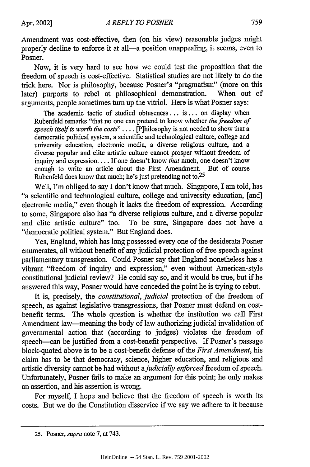Amendment was cost-effective, then (on his view) reasonable judges might properly decline to enforce it at all—a position unappealing, it seems, even to Posner.

Now, it is very hard to see how we could test the proposition that the freedom of speech is cost-effective. Statistical studies are not likely to do the trick here. Nor is philosophy, because Posner's "pragmatism" (more on this later) purports to rebel at philosophical demonstration. When out of later) purports to rebel at philosophical demonstration. arguments, people sometimes turn up the vitriol. Here is what Posner says:

The academic tactic of studied obtuseness... is... on display when Rubenfeld remarks "that no one can pretend to know whether *the freedom of speech itself is worth the costs"....* [P]hilosophy is not needed to show that a democratic political system, a scientific and technological culture, college and university education, electronic media, a diverse religious culture, and a diverse popular and elite artistic culture cannot prosper without freedom of inquiry and expression.... If one doesn't know *that* much, one doesn't know enough to write an article about the First Amendment. But of course Rubenfeld does know that much; he's just pretending not to.<sup>25</sup>

Well, I'm obliged to say I don't know that much. Singapore, I am told, has "a scientific and technological culture, college and university education, [and] electronic media," even though it lacks the freedom of expression. According to some, Singapore also has "a diverse religious culture, and a diverse popular and elite artistic culture" too. To be sure, Singapore does not have a "democratic political system." But England does.

Yes, England, which has long possessed every one of the desiderata Posner enumerates, all without benefit of any judicial protection of free speech against parliamentary transgression. Could Posner say that England nonetheless has a vibrant "freedom of inquiry and expression," even without American-style constitutional judicial review? He could say so, and it would be true, but if he answered this way, Posner would have conceded the point he is trying to rebut.

It is, precisely, the *constitutional, judicial* protection of the freedom of speech, as against legislative transgressions, that Posner must defend on costbenefit terms. The whole question is whether the institution we call First Amendment law-meaning the body of law authorizing judicial invalidation of governmental action that (according to judges) violates the freedom of speech-can be justified from a cost-benefit perspective. If Posner's passage block-quoted above is to be a cost-benefit defense of the *First Amendment,* his claim has to be that democracy, science, higher education, and religious and artistic diversity cannot be had without *ajudicially enforced* freedom of speech. Unfortunately, Posner fails to make an argument for this point; he only makes an assertion, and his assertion is wrong.

For myself, I hope and believe that the freedom of speech is worth its costs. But we do the Constitution disservice if we say we adhere to it because

<sup>25.</sup> Posner, *supra* note 7, at 743.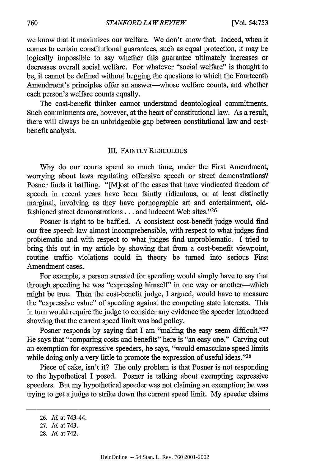we know that it maximizes our welfare. We don't know that. Indeed, when it comes to certain constitutional guarantees, such as equal protection, it may be logically impossible to say whether this guarantee ultimately increases or decreases overall social welfare. For whatever "social welfare" is thought to be, it cannot be defined without begging the questions to which the Fourteenth Amendment's principles offer an answer-whose welfare counts, and whether each person's welfare counts equally.

The cost-benefit thinker cannot understand deontological commitments. Such commitments are, however, at the heart of constitutional law. As a result, there will always be an unbridgeable gap between constitutional law and costbenefit analysis.

#### III. FAINTLY RIDICULOUS

Why do our courts spend so much time, under the First Amendment, worrying about laws regulating offensive speech or street demonstrations? Posner finds it baffling. "[M]ost of the cases that have vindicated freedom of speech in recent years have been faintly ridiculous, or at least distinctly marginal, involving as they have pornographic art and entertainment, oldfashioned street demonstrations . . . and indecent Web sites."26

Posner is right to be baffled. A consistent cost-benefit judge would find our free speech law almost incomprehensible, with respect to what judges find problematic and with respect to what judges find unproblematic. I tried to bring this out in my article by showing that from a cost-benefit viewpoint, routine traffic violations could in theory be turned into serious First Amendment cases.

For example, a person arrested for speeding would simply have to say that through speeding he was "expressing himself' in one way or another-which might be true. Then the cost-benefit judge, I argued, would have to measure the "expressive value" of speeding against the competing state interests. This in turn would require the judge to consider any evidence the speeder introduced showing that the current speed limit was bad policy.

Posner responds by saying that I am "making the easy seem difficult."<sup>27</sup> He says that "comparing costs and benefits" here is "an easy one." Carving out an exemption for expressive speeders, he says, "would emasculate speed limits while doing only a very little to promote the expression of useful ideas."<sup>28</sup>

Piece of cake, isn't it? The only problem is that Posner is not responding to the hypothetical I posed. Posner is talking about exempting expressive speeders. But my hypothetical speeder was not claiming an exemption; he was trying to get a judge to strike down the current speed limit. My speeder claims

<sup>26.</sup> *Id.* at 743-44.

<sup>27.</sup> *Id.* at 743.

<sup>28.</sup> *Id.* at 742.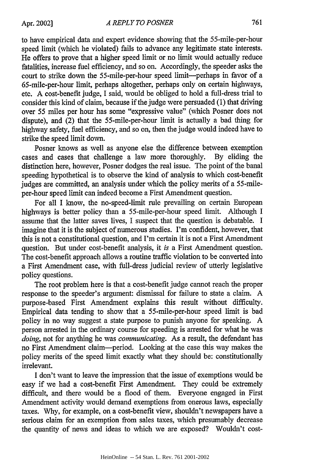to have empirical data and expert evidence showing that the 55-mile-per-hour speed limit (which he violated) fails to advance any legitimate state interests. He offers to prove that a higher speed limit or no limit would actually reduce fatalities, increase fuel efficiency, and so on. Accordingly, the speeder asks the court to strike down the 55-mile-per-hour speed limit-perhaps in favor of a 65-mile-per-hour limit, perhaps altogether, perhaps only on certain highways, etc. A cost-benefit judge, I said, would be obliged to hold a full-dress trial to consider this kind of claim, because if the judge were persuaded (1) that driving over 55 miles per hour has some "expressive value" (which Posner does not dispute), and (2) that the 55-mile-per-hour limit is actually a bad thing for highway safety, fuel efficiency, and so on, then the judge would indeed have to strike the speed limit down.

Posner knows as well as anyone else the difference between exemption cases and cases that challenge a law more thoroughly. By eliding the distinction here, however, Posner dodges the real issue. The point of the banal speeding hypothetical is to observe the kind of analysis to which cost-benefit judges are committed, an analysis under which the policy merits of a 55-mileper-hour speed limit can indeed become a First Amendment question.

For all I know, the no-speed-limit rule prevailing on certain European highways is better policy than a 55-mile-per-hour speed limit. Although I assume that the latter saves lives, I suspect that the question is debatable. I imagine that it is the subject of numerous studies. I'm confident, however, that this is not a constitutional question, and I'm certain it is not a First Amendment question. But under cost-benefit analysis, it *is* a First Amendment question. The cost-benefit approach allows a routine traffic violation to be converted into a First Amendment case, with full-dress judicial review of utterly legislative policy questions.

The root problem here is that a cost-benefit judge cannot reach the proper response to the speeder's argument: dismissal for failure to state a claim. A purpose-based First Amendment explains this result without difficulty. Empirical data tending to show that a 55-mile-per-hour speed limit is bad policy in no way suggest a state purpose to punish anyone for speaking. A person arrested in the ordinary course for speeding is arrested for what he was *doing*, not for anything he was *communicating*. As a result, the defendant has no First Amendment claim-period. Looking at the case this way makes the policy merits of the speed limit exactly what they should be: constitutionally irrelevant.

I don't want to leave the impression that the issue of exemptions would be easy if we had a cost-benefit First Amendment. They could be extremely difficult, and there would be a flood of them. Everyone engaged in First Amendment activity would demand exemptions from onerous laws, especially taxes. Why, for example, on a cost-benefit view, shouldn't newspapers have a serious claim for an exemption from sales taxes, which presumably decrease the quantity of news and ideas to which we are exposed? Wouldn't cost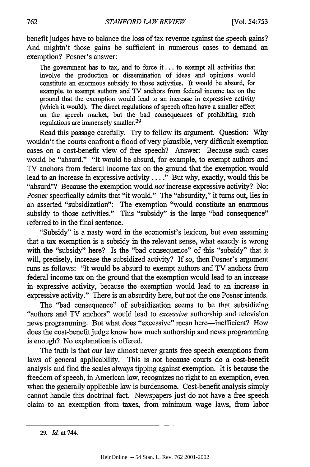benefit judges have to balance the loss of tax revenue against the speech gains? And mightn't those gains be sufficient in numerous cases to demand an exemption? Posner's answer:

The government has to tax, and to force  $it \ldots$  to exempt all activities that involve the production or dissemination of ideas and opinions would constitute an enormous subsidy to those activities. It would be absurd, for example, to exempt authors and TV anchors from federal income tax on the ground that the exemption would lead to an increase in expressive activity (which it would). The direct regulations of speech often have a smaller effect on the speech market, but the bad consequences of prohibiting such regulations are immensely smaller.<sup>29</sup>

Read this passage carefully. Try to follow its argument. Question: Why wouldn't the courts confront a flood of very plausible, very difficult exemption cases on a cost-benefit view of free speech? Answer: Because such cases would be "absurd." "It would be absurd, for example, to exempt authors and TV anchors from federal income tax on the ground that the exemption would lead to an increase in expressive activity ... **."** But why, exactly, would this be "absurd"? Because the exemption would *not* increase expressive activity? No: Posner specifically admits that "it would." The "absurdity," it turns out, lies in an asserted "subsidization": The exemption "would constitute an enormous subsidy to those activities." This "subsidy" is the large "bad consequence" referred to in the final sentence.

"Subsidy" is a nasty word in the economist's lexicon, but even assuming that a tax exemption is a subsidy in the relevant sense, what exactly is wrong with the "subsidy" here? Is the "bad consequence" of this "subsidy" that it will, precisely, increase the subsidized activity? If so, then Posner's argument runs as follows: "It would be absurd to exempt authors and TV anchors from federal income tax on the ground that the exemption would lead to an increase in expressive activity, because the exemption would lead to an increase in expressive activity." There is an absurdity here, but not the one Posner intends.

The "bad consequence" of subsidization seems to be that subsidizing "authors and TV anchors" would lead to *excessive* authorship and television news programming. But what does "excessive" mean here—inefficient? How does the cost-benefit judge know how much authorship and news programming is enough? No explanation is offered.

The truth is that our law almost never grants free speech exemptions from laws of general applicability. This is not because courts do a cost-benefit analysis and find the scales always tipping against exemption. It is because the freedom of speech, in American law, recognizes no right to an exemption, even when the generally applicable law is burdensome. Cost-benefit analysis simply cannot handle this doctrinal fact. Newspapers just do not have a free speech claim to an exemption from taxes, from minimum wage laws, from labor

29. *Id.* at 744.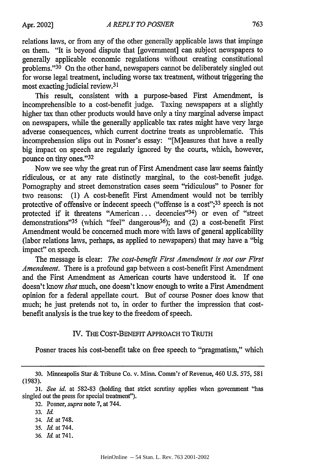relations laws, or from any of the other generally applicable laws that impinge on them. "It is beyond dispute that [government] can subject newspapers to generally applicable economic regulations without creating constitutional problems."<sup>30</sup> On the other hand, newspapers cannot be deliberately singled out for worse legal treatment, including worse tax treatment, without triggering the most exacting judicial review.<sup>31</sup>

This result, consistent with a purpose-based First Amendment, is incomprehensible to a cost-benefit judge. Taxing newspapers at a slightly higher tax than other products would have only a tiny marginal adverse impact on newspapers, while the generally applicable tax rates might have very large adverse consequences, which current doctrine treats as unproblematic. This incomprehension slips out in Posner's essay: "[M]easures that have a really big impact on speech are regularly ignored by the courts, which, however, pounce on tiny ones."32

Now we see why the great run of First Amendment case law seems faintly ridiculous, or at any rate distinctly marginal, to the cost-benefit judge. Pornography and street demonstration cases seem "ridiculous" to Posner for two reasons: (1) A cost-benefit First Amendment would not be terribly protective of offensive or indecent speech ("offense is a cost";<sup>33</sup> speech is not protected if it threatens "American... decencies"<sup>34</sup>) or even of "street demonstrations" 35 (which "feel" dangerous  $36$ ); and (2) a cost-benefit First Amendment would be concerned much more with laws of general applicability (labor relations laws, perhaps, as applied to newspapers) that may have a "big impact" on speech.

The message is clear: *The cost-benefit First Amendment is not our First Amendment.* There is a profound gap between a cost-benefit First Amendment and the First Amendment as American courts have understood it. If one doesn't know *that* much, one doesn't know enough to write a First Amendment opinion for a federal appellate court. But of course Posner does know that much; he just pretends not to, in order to further the impression that costbenefit analysis is the true key to the freedom of speech.

## IV. THE COST-BENEFIT APPROACH TO TRUTH

Posner traces his cost-benefit take on free speech to "pragmatism," which

- 32. Posner, *supra* note 7, at 744.
- 33. *Id.*
- 34. *Id.* at 748.
- *35. Id.* at 744.
- 36. *Id.* at 741.

<sup>30.</sup> Minneapolis Star & Tribune Co. v. Minn. Comm'r of Revenue, 460 U.S. 575, 581 (1983).

<sup>31.</sup> *See id.* at 582-83 (holding that strict scrutiny applies when government "has singled out the press for special treatment").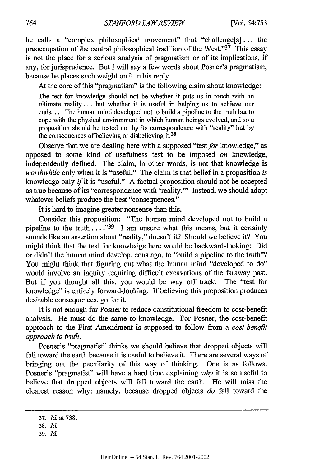he calls a "complex philosophical movement" that "challenge[s] ... the preoccupation of the central philosophical tradition of the West."37 This essay is not the place for a serious analysis of pragmatism or of its implications, if any, for jurisprudence. But I will say a few words about Posner's pragmatism, because he places such weight on it in his reply.

At the core of this "pragmatism" is the following claim about knowledge: The test for knowledge should not be whether it puts us in touch with an ultimate reality... but whether it is useful in helping us to achieve our ends.... The human mind developed not to build a pipeline to the truth but to cope with the physical environment in which human beings evolved, and so a proposition should be tested not by its correspondence with "reality" but by the consequences of believing or disbelieving it.<sup>38</sup>

Observe that we are dealing here with a supposed "test for knowledge," as opposed to some kind of usefulness test to be imposed *on* knowledge, independently defined. The claim, in other words, is not that knowledge is *worthwhile* only when it is "useful." The claim is that belief in a proposition *is* knowledge only *if* it is "useful." A factual proposition should not be accepted as true because of its "correspondence with 'reality."' Instead, we should adopt whatever beliefs produce the best "consequences."

It is hard to imagine greater nonsense than this.

Consider this proposition: "The human mind developed not to build a pipeline to the truth  $\ldots$ ."<sup>39</sup> I am unsure what this means, but it certainly sounds like an assertion about "reality," doesn't it? Should we believe it? You might think that the test for knowledge here would be backward-looking: Did or didn't the human mind develop, eons ago, to "build a pipeline to the truth"? You might think that figuring out what the human mind "developed to do" would involve an inquiry requiring difficult excavations of the faraway past. But if you thought all this, you would be way off track. The "test for knowledge" is entirely forward-looking. If believing this proposition produces desirable consequences, go for it.

It is not enough for Posner to reduce constitutional freedom to cost-benefit analysis. He must do the same to knowledge. For Posner, the cost-benefit approach to the First Amendment is supposed to follow from a *cost-benefit approach to truth.*

Posner's "pragmatist" thinks we should believe that dropped objects will fall toward the earth because it is useful to believe it. There are several ways of bringing out the peculiarity of this way of thinking. One is as follows. Posner's "pragmatist" will have a hard time explaining *why* it is so useful to believe that dropped objects will fall toward the earth. He will miss the clearest reason why: namely, because dropped objects *do* fall toward the

**<sup>37.</sup>** Id. at 738.

**<sup>38.</sup>** *Id.*

**<sup>39.</sup>** *Id.*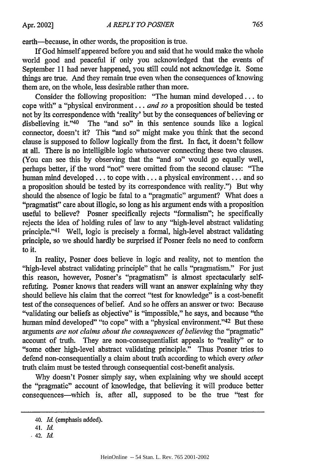earth—because, in other words, the proposition is true.

If God himself appeared before you and said that he would make the whole world good and peaceful if only you acknowledged that the events of September 11 had never happened, you still could not acknowledge it. Some things are true. And they remain true even when the consequences of knowing them are, on the whole, less desirable rather than more.

Consider the following proposition: "The human mind developed.., to cope with" a "physical environment... *and so* a proposition should be tested not by its correspondence with 'reality' but by the consequences of believing or disbelieving it."40 The "and so" in this sentence sounds like a logical connector, doesn't it? This "and so" might make you think that the second clause is supposed to follow logically from the first. In fact, it doesn't follow at all. There is no intelligible logic whatsoever connecting these two clauses. (You can see this by observing that the "and so" would go equally well, perhaps better, if the word "not" were omitted from the second clause: "The human mind developed.., to cope with... a physical environment... and so a proposition should be tested by its correspondence with reality.") But why should the absence of logic be fatal to a "pragmatic" argument? What does a "pragmatist" care about illogic, so long as his argument ends with a proposition useful to believe? Posner specifically rejects "formalism"; he specifically rejects the idea of holding rules of law to any "high-level abstract validating principle."<sup>41</sup> Well, logic is precisely a formal, high-level abstract validating principle, so we should hardly be surprised if Posner feels no need to conform to it.

In reality, Posner does believe in logic and reality, not to mention the "high-level abstract validating principle" that he calls "pragmatism." For just this reason, however, Posner's "pragmatism" is almost spectacularly selfrefuting. Posner knows that readers will want an answer explaining why they should believe his claim that the correct "test for knowledge" is a cost-benefit test of the consequences of belief. And so he offers an answer or two: Because "validating our beliefs as objective" is "impossible," he says, and because "the human mind developed" "to cope" with a "physical environment."<sup>42</sup> But these arguments *are not claims about the consequences of believing* the "pragmatic" account of truth. They are non-consequentialist appeals to "reality" or to "some other high-level abstract validating principle." Thus Posner tries to defend non-consequentially a claim about truth according to which every *other* truth claim must be tested through consequential cost-benefit analysis.

Why doesn't Posner simply say, when explaining why we should accept the "pragmatic" account of knowledge, that believing it will produce better consequences-which is, after all, supposed to be the true "test for

42. *Id.*

<sup>40.</sup> *Id.* (emphasis added).

<sup>41.</sup> *Id.*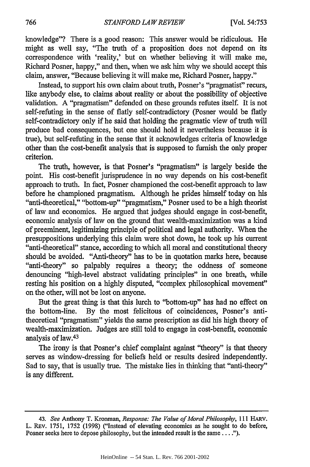knowledge"? There is a good reason: This answer would be ridiculous. He might as well say, "The truth of a proposition does not depend on its correspondence with 'reality,' but on whether believing it will make me, Richard Posner, happy," and then, when we ask him why we should accept this claim, answer, "Because believing it will make me, Richard Posner, happy."

Instead, to support his own claim about truth, Posner's "pragmatist" recurs, like anybody else, to claims about reality or about the possibility of objective validation. A "pragmatism" defended on these grounds refutes itself. It is not self-refuting in the sense of flatly self-contradictory (Posner would be flatly self-contradictory only if he said that holding the pragmatic view of truth will produce bad consequences, but one should hold it nevertheless because it is true), but self-refuting in the sense that it acknowledges criteria of knowledge other than the cost-benefit analysis that is supposed to furnish the only proper criterion.

The truth, however, is that Posner's "pragmatism" is largely beside the point. His cost-benefit jurisprudence in no way depends on his cost-benefit approach to truth. In fact, Posner championed the cost-benefit approach to law before he championed pragmatism. Although he prides himself today on his "anti-theoretical," "bottom-up" "pragmatism," Posner used to be a high theorist of law and economics. He argued that judges should engage in cost-benefit, economic analysis of law on the ground that wealth-maximization was a kind of preeminent, legitimizing principle of political and legal authority. When the presuppositions underlying this claim were shot down, he took up his current "anti-theoretical" stance, according to which all moral and constitutional theory should be avoided. "Anti-theory" has to be in quotation marks here, because "anti-theory" so palpably requires a theory; the oddness of someone denouncing "high-level abstract validating principles" in one breath, while resting his position on a highly disputed, "complex philosophical movement" on the other, will not be lost on anyone.

But the great thing is that this lurch to "bottom-up" has had no effect on the bottom-line. By the most felicitous of coincidences, Posner's antitheoretical "pragmatism" yields the same prescription as did his high theory of wealth-maximization. Judges are still told to engage in cost-benefit, economic analysis of law.<sup>43</sup>

The irony is that Posner's chief complaint against "theory" is that theory serves as window-dressing for beliefs held or results desired independently. Sad to say, that is usually true. The mistake lies in thinking that "anti-theory" is any different.

<sup>43.</sup> *See* Anthony T. Kronman, *Response: The Value of Moral Philosophy, 111* HARV. L. REV. 1751, 1752 (1998) ("Instead of elevating economics as he sought to do before, Posner seeks here to depose philosophy, but the intended result is the same .... **").**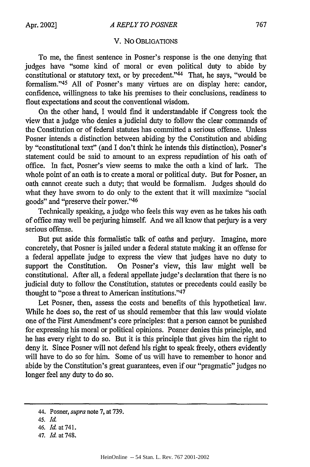### V. NO **OBLIGATIONS**

To me, the finest sentence in Posner's response is the one denying that judges have "some kind of moral or even political duty to abide by constitutional or statutory text, or by precedent."'44 That, he says, "would be formalism. '45 All of Posner's many virtues are on display here: candor, confidence, willingness to take his premises to their conclusions, readiness to flout expectations and scout the conventional wisdom.

On the other hand, I would find it understandable if Congress took the view that a judge who denies a judicial duty to follow the clear commands of the Constitution or of federal statutes has committed a serious offense. Unless Posner intends a distinction between abiding by the Constitution and abiding by "constitutional text" (and I don't think he intends this distinction), Posner's statement could be said to amount to an express repudiation of his oath of office. In fact, Posner's view seems to make the oath a kind of lark. The whole point of an oath is to create a moral or political duty. But for Posner, an oath cannot create such a duty; that would be formalism. Judges should do what they have sworn to do only to the extent that it will maximize "social goods" and "preserve their power."<sup>46</sup>

Technically speaking, a judge who feels this way even as he takes his oath of office may well be perjuring himself. And we all know that perjury is a very serious offense.

But put aside this formalistic talk of oaths and perjury. Imagine, more concretely, that Posner is jailed under a federal statute making it an offense for a federal appellate judge to express the view that judges have no duty to support the Constitution. On Posner's view, this law might well be constitutional. After all, a federal appellate judge's declaration that there is no judicial duty to follow the Constitution, statutes or precedents could easily be thought to "pose a threat to American institutions."47

Let Posner, then, assess the costs and benefits of this hypothetical law. While he does so, the rest of us should remember that this law would violate one of the First Amendment's core principles: that a person cannot be punished for expressing his moral or political opinions. Posner denies this principle, and he has every right to do so. But it is this principle that gives him the right to deny it. Since Posner will not defend his right to speak freely, others evidently will have to do so for him. Some of us will have to remember to honor and abide by the Constitution's great guarantees, even if our "pragmatic" judges no longer feel any duty to do so.

<sup>44.</sup> Posner, *supra* note 7, at 739.

*<sup>45.</sup> Id.*

<sup>46.</sup> *Id.* at 741.

<sup>47.</sup> *Id.* at 748.